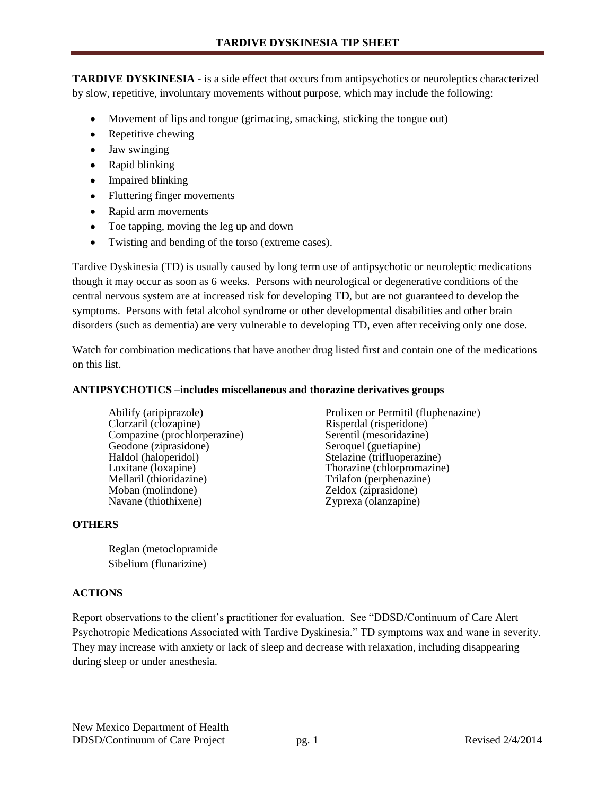**TARDIVE DYSKINESIA -** is a side effect that occurs from antipsychotics or neuroleptics characterized by slow, repetitive, involuntary movements without purpose, which may include the following:

- Movement of lips and tongue (grimacing, smacking, sticking the tongue out)
- Repetitive chewing
- Jaw swinging
- Rapid blinking
- Impaired blinking
- Fluttering finger movements
- Rapid arm movements
- Toe tapping, moving the leg up and down  $\bullet$
- Twisting and bending of the torso (extreme cases).  $\bullet$

Tardive Dyskinesia (TD) is usually caused by long term use of antipsychotic or neuroleptic medications though it may occur as soon as 6 weeks. Persons with neurological or degenerative conditions of the central nervous system are at increased risk for developing TD, but are not guaranteed to develop the symptoms. Persons with fetal alcohol syndrome or other developmental disabilities and other brain disorders (such as dementia) are very vulnerable to developing TD, even after receiving only one dose.

Watch for combination medications that have another drug listed first and contain one of the medications on this list.

## **ANTIPSYCHOTICS –includes miscellaneous and thorazine derivatives groups**

Abilify (aripiprazole) **Prolixen or Permitil (fluphenazine)** Prolixen or Permitil (fluphenazine) **Prolixen** or Permitil (fluphenazine) Compazine (prochlorperazine) Serentil (mesoridazine) Geodone (ziprasidone) Seroquel (guetiapine)<br>
Haldol (haloperidol) Stelazine (trifluoperaz Haldol (haloperidol) Stelazine (trifluoperazine)<br>
Loxitane (loxapine) Thorazine (chlorpromazine Loxitane (loxapine) <br>
Mellaril (thioridazine) Trilafon (perphenazine) Moban (molindone) Zeldox (ziprasidone) Navane (thiothixene) Zyprexa (olanzapine)

## **OTHERS**

Reglan (metoclopramide Sibelium (flunarizine)

## **ACTIONS**

Report observations to the client's practitioner for evaluation. See "DDSD/Continuum of Care Alert Psychotropic Medications Associated with Tardive Dyskinesia." TD symptoms wax and wane in severity. They may increase with anxiety or lack of sleep and decrease with relaxation, including disappearing during sleep or under anesthesia.

Risperdal (risperidone) Trilafon (perphenazine)